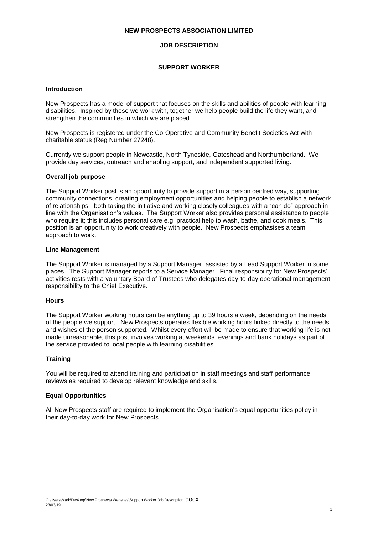## **NEW PROSPECTS ASSOCIATION LIMITED**

# **JOB DESCRIPTION**

### **SUPPORT WORKER**

### **Introduction**

New Prospects has a model of support that focuses on the skills and abilities of people with learning disabilities. Inspired by those we work with, together we help people build the life they want, and strengthen the communities in which we are placed.

New Prospects is registered under the Co-Operative and Community Benefit Societies Act with charitable status (Reg Number 27248).

Currently we support people in Newcastle, North Tyneside, Gateshead and Northumberland. We provide day services, outreach and enabling support, and independent supported living.

# **Overall job purpose**

The Support Worker post is an opportunity to provide support in a person centred way, supporting community connections, creating employment opportunities and helping people to establish a network of relationships - both taking the initiative and working closely colleagues with a "can do" approach in line with the Organisation's values. The Support Worker also provides personal assistance to people who require it; this includes personal care e.g. practical help to wash, bathe, and cook meals. This position is an opportunity to work creatively with people. New Prospects emphasises a team approach to work.

#### **Line Management**

The Support Worker is managed by a Support Manager, assisted by a Lead Support Worker in some places. The Support Manager reports to a Service Manager. Final responsibility for New Prospects' activities rests with a voluntary Board of Trustees who delegates day-to-day operational management responsibility to the Chief Executive.

### **Hours**

The Support Worker working hours can be anything up to 39 hours a week, depending on the needs of the people we support. New Prospects operates flexible working hours linked directly to the needs and wishes of the person supported. Whilst every effort will be made to ensure that working life is not made unreasonable, this post involves working at weekends, evenings and bank holidays as part of the service provided to local people with learning disabilities.

### **Training**

You will be required to attend training and participation in staff meetings and staff performance reviews as required to develop relevant knowledge and skills.

## **Equal Opportunities**

All New Prospects staff are required to implement the Organisation's equal opportunities policy in their day-to-day work for New Prospects.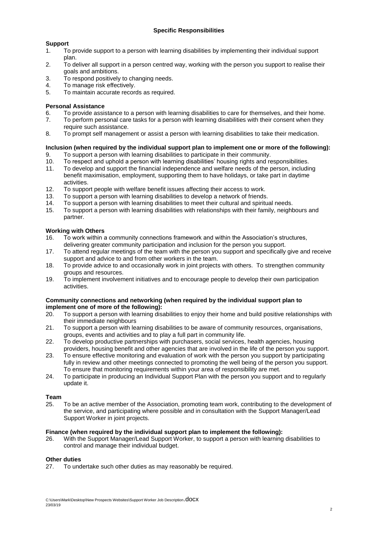# **Support**

- 1. To provide support to a person with learning disabilities by implementing their individual support plan.
- 2. To deliver all support in a person centred way, working with the person you support to realise their goals and ambitions.
- 3. To respond positively to changing needs.
- 4. To manage risk effectively.
- 5. To maintain accurate records as required.

# **Personal Assistance**

- 6. To provide assistance to a person with learning disabilities to care for themselves, and their home.
- 7. To perform personal care tasks for a person with learning disabilities with their consent when they require such assistance.
- 8. To prompt self management or assist a person with learning disabilities to take their medication.

# **Inclusion (when required by the individual support plan to implement one or more of the following):**

- 9. To support a person with learning disabilities to participate in their community.
- 10. To respect and uphold a person with learning disabilities' housing rights and responsibilities.
- 11. To develop and support the financial independence and welfare needs of the person, including benefit maximisation, employment, supporting them to have holidays, or take part in daytime activities.
- 12. To support people with welfare benefit issues affecting their access to work.
- 13. To support a person with learning disabilities to develop a network of friends.
- 14. To support a person with learning disabilities to meet their cultural and spiritual needs.
- 15. To support a person with learning disabilities with relationships with their family, neighbours and partner.

# **Working with Others**

- 16. To work within a community connections framework and within the Association's structures, delivering greater community participation and inclusion for the person you support.
- 17. To attend regular meetings of the team with the person you support and specifically give and receive support and advice to and from other workers in the team.
- 18. To provide advice to and occasionally work in joint projects with others. To strengthen community groups and resources.
- 19. To implement involvement initiatives and to encourage people to develop their own participation activities.

#### **Community connections and networking (when required by the individual support plan to implement one of more of the following):**

- 20. To support a person with learning disabilities to enjoy their home and build positive relationships with their immediate neighbours
- 21. To support a person with learning disabilities to be aware of community resources, organisations, groups, events and activities and to play a full part in community life.
- 22. To develop productive partnerships with purchasers, social services, health agencies, housing providers, housing benefit and other agencies that are involved in the life of the person you support.
- 23. To ensure effective monitoring and evaluation of work with the person you support by participating fully in review and other meetings connected to promoting the well being of the person you support. To ensure that monitoring requirements within your area of responsibility are met.
- 24. To participate in producing an Individual Support Plan with the person you support and to regularly update it.

# **Team**

25. To be an active member of the Association, promoting team work, contributing to the development of the service, and participating where possible and in consultation with the Support Manager/Lead Support Worker in joint projects.

### **Finance (when required by the individual support plan to implement the following):**

26. With the Support Manager/Lead Support Worker, to support a person with learning disabilities to control and manage their individual budget.

### **Other duties**

27. To undertake such other duties as may reasonably be required.